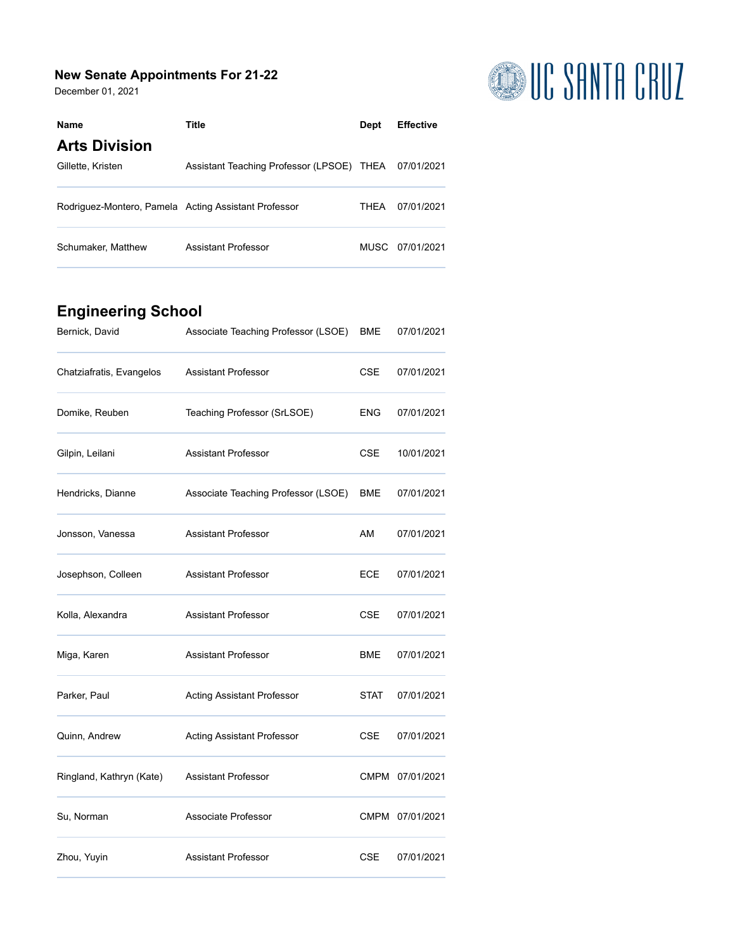#### **New Senate Appointments For 21-22**

December 01, 2021



| <b>Name</b>                                          | Title                                                | <b>Dept</b> | <b>Effective</b> |
|------------------------------------------------------|------------------------------------------------------|-------------|------------------|
| <b>Arts Division</b>                                 |                                                      |             |                  |
| Gillette, Kristen                                    | Assistant Teaching Professor (LPSOE) THEA 07/01/2021 |             |                  |
| Rodriguez-Montero, Pamela Acting Assistant Professor |                                                      | THFA        | 07/01/2021       |
| Schumaker, Matthew                                   | Assistant Professor                                  |             | MUSC 07/01/2021  |

# **Engineering School**

| Bernick, David           | Associate Teaching Professor (LSOE) | BME        | 07/01/2021      |
|--------------------------|-------------------------------------|------------|-----------------|
| Chatziafratis, Evangelos | <b>Assistant Professor</b>          | <b>CSE</b> | 07/01/2021      |
| Domike, Reuben           | Teaching Professor (SrLSOE)         | ENG        | 07/01/2021      |
| Gilpin, Leilani          | <b>Assistant Professor</b>          | <b>CSE</b> | 10/01/2021      |
| Hendricks, Dianne        | Associate Teaching Professor (LSOE) | BME        | 07/01/2021      |
| Jonsson, Vanessa         | <b>Assistant Professor</b>          | AM         | 07/01/2021      |
| Josephson, Colleen       | <b>Assistant Professor</b>          | <b>ECE</b> | 07/01/2021      |
| Kolla, Alexandra         | <b>Assistant Professor</b>          | <b>CSE</b> | 07/01/2021      |
| Miga, Karen              | <b>Assistant Professor</b>          | BME        | 07/01/2021      |
| Parker, Paul             | <b>Acting Assistant Professor</b>   | STAT       | 07/01/2021      |
| Quinn, Andrew            | <b>Acting Assistant Professor</b>   | <b>CSE</b> | 07/01/2021      |
| Ringland, Kathryn (Kate) | <b>Assistant Professor</b>          |            | CMPM 07/01/2021 |
| Su, Norman               | Associate Professor                 |            | CMPM 07/01/2021 |
| Zhou, Yuyin              | <b>Assistant Professor</b>          | <b>CSE</b> | 07/01/2021      |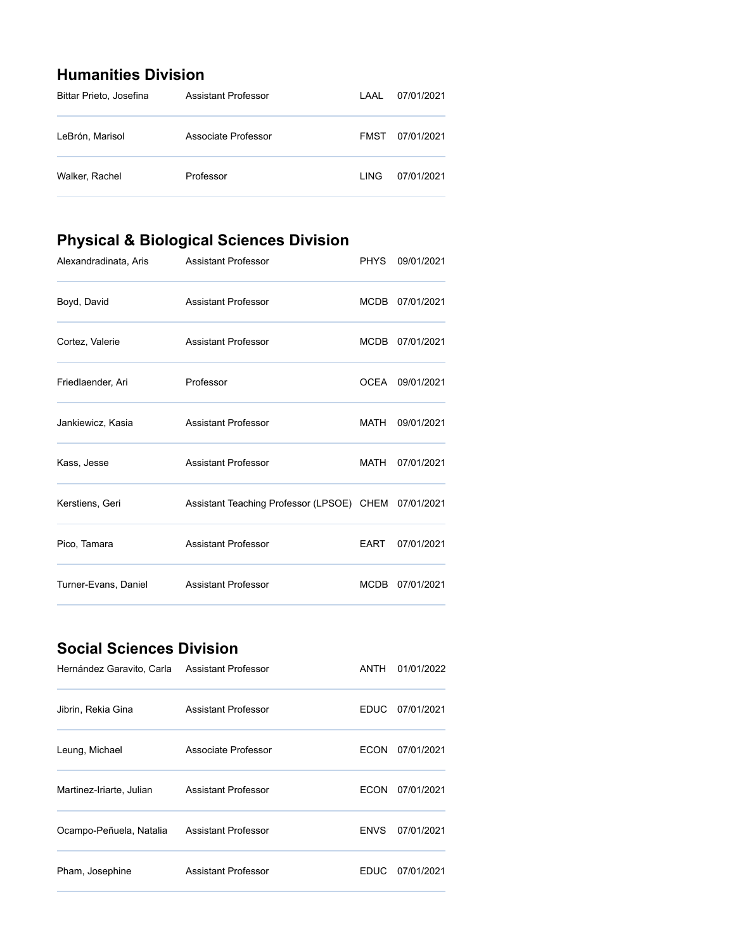### **Humanities Division**

| Bittar Prieto, Josefina | Assistant Professor | LAAL        | 07/01/2021 |
|-------------------------|---------------------|-------------|------------|
| LeBrón, Marisol         | Associate Professor | FMST        | 07/01/2021 |
| Walker, Rachel          | Professor           | <b>LING</b> | 07/01/2021 |

# **Physical & Biological Sciences Division**

| Alexandradinata, Aris | <b>Assistant Professor</b>                           | <b>PHYS</b> | 09/01/2021      |
|-----------------------|------------------------------------------------------|-------------|-----------------|
| Boyd, David           | <b>Assistant Professor</b>                           |             | MCDB 07/01/2021 |
| Cortez, Valerie       | <b>Assistant Professor</b>                           |             | MCDB 07/01/2021 |
| Friedlaender, Ari     | Professor                                            |             | OCEA 09/01/2021 |
| Jankiewicz, Kasia     | <b>Assistant Professor</b>                           | MATH        | 09/01/2021      |
| Kass, Jesse           | <b>Assistant Professor</b>                           | MATH        | 07/01/2021      |
| Kerstiens, Geri       | Assistant Teaching Professor (LPSOE) CHEM 07/01/2021 |             |                 |
| Pico, Tamara          | <b>Assistant Professor</b>                           | <b>EART</b> | 07/01/2021      |
| Turner-Evans, Daniel  | <b>Assistant Professor</b>                           | <b>MCDB</b> | 07/01/2021      |

### **Social Sciences Division**

| Hernández Garavito, Carla | <b>Assistant Professor</b> | ANTH        | 01/01/2022      |
|---------------------------|----------------------------|-------------|-----------------|
| Jibrin, Rekia Gina        | Assistant Professor        |             | EDUC 07/01/2021 |
| Leung, Michael            | Associate Professor        | <b>ECON</b> | 07/01/2021      |
| Martinez-Iriarte, Julian  | Assistant Professor        | <b>ECON</b> | 07/01/2021      |
| Ocampo-Peñuela, Natalia   | Assistant Professor        | <b>ENVS</b> | 07/01/2021      |
| Pham, Josephine           | <b>Assistant Professor</b> | EDUC.       | 07/01/2021      |